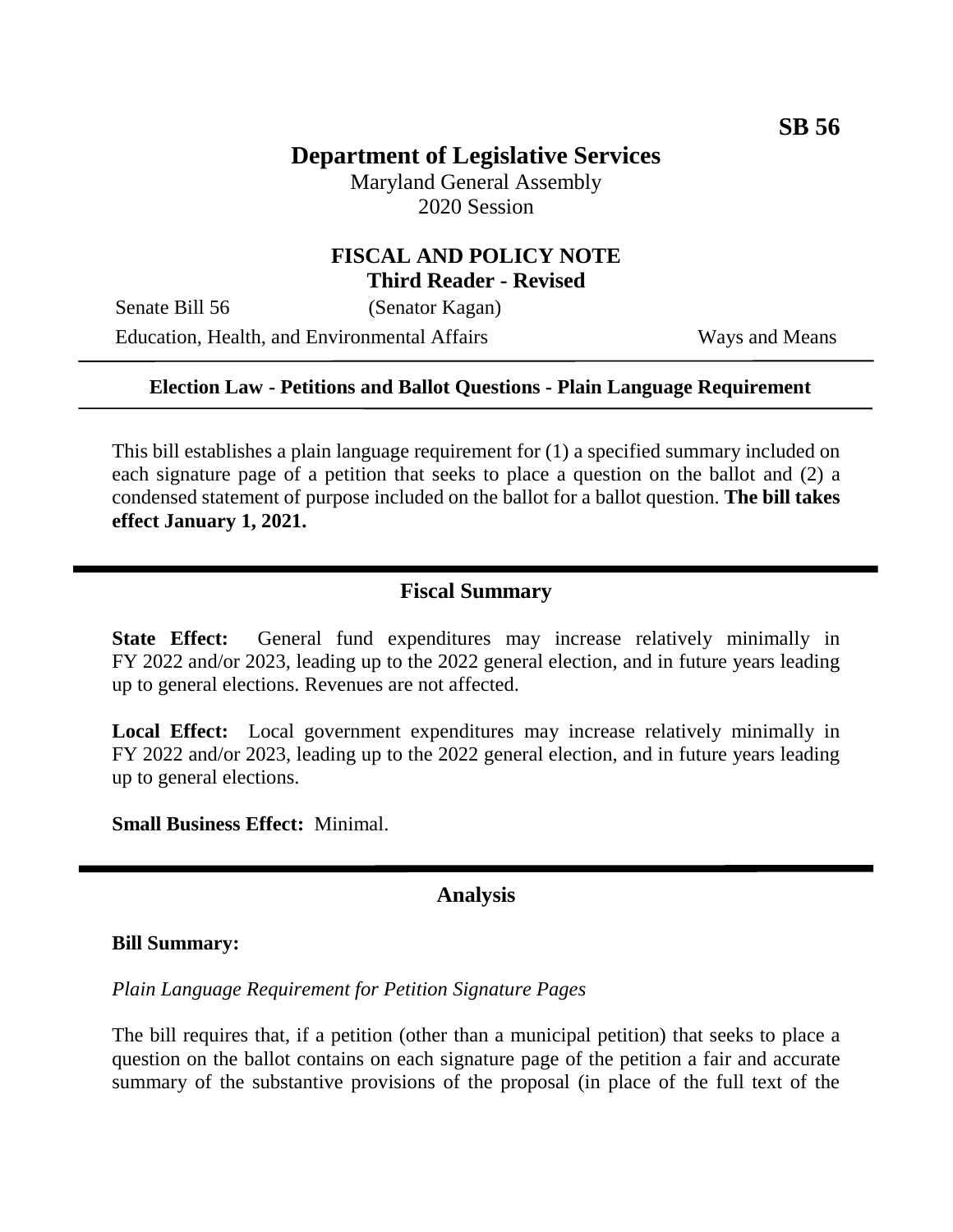# **Department of Legislative Services**

Maryland General Assembly 2020 Session

#### **FISCAL AND POLICY NOTE Third Reader - Revised**

Senate Bill 56 (Senator Kagan) Education, Health, and Environmental Affairs Ways and Means

#### **Election Law - Petitions and Ballot Questions - Plain Language Requirement**

This bill establishes a plain language requirement for (1) a specified summary included on each signature page of a petition that seeks to place a question on the ballot and (2) a condensed statement of purpose included on the ballot for a ballot question. **The bill takes effect January 1, 2021.**

#### **Fiscal Summary**

**State Effect:** General fund expenditures may increase relatively minimally in FY 2022 and/or 2023, leading up to the 2022 general election, and in future years leading up to general elections. Revenues are not affected.

**Local Effect:** Local government expenditures may increase relatively minimally in FY 2022 and/or 2023, leading up to the 2022 general election, and in future years leading up to general elections.

**Small Business Effect:** Minimal.

#### **Analysis**

#### **Bill Summary:**

*Plain Language Requirement for Petition Signature Pages*

The bill requires that, if a petition (other than a municipal petition) that seeks to place a question on the ballot contains on each signature page of the petition a fair and accurate summary of the substantive provisions of the proposal (in place of the full text of the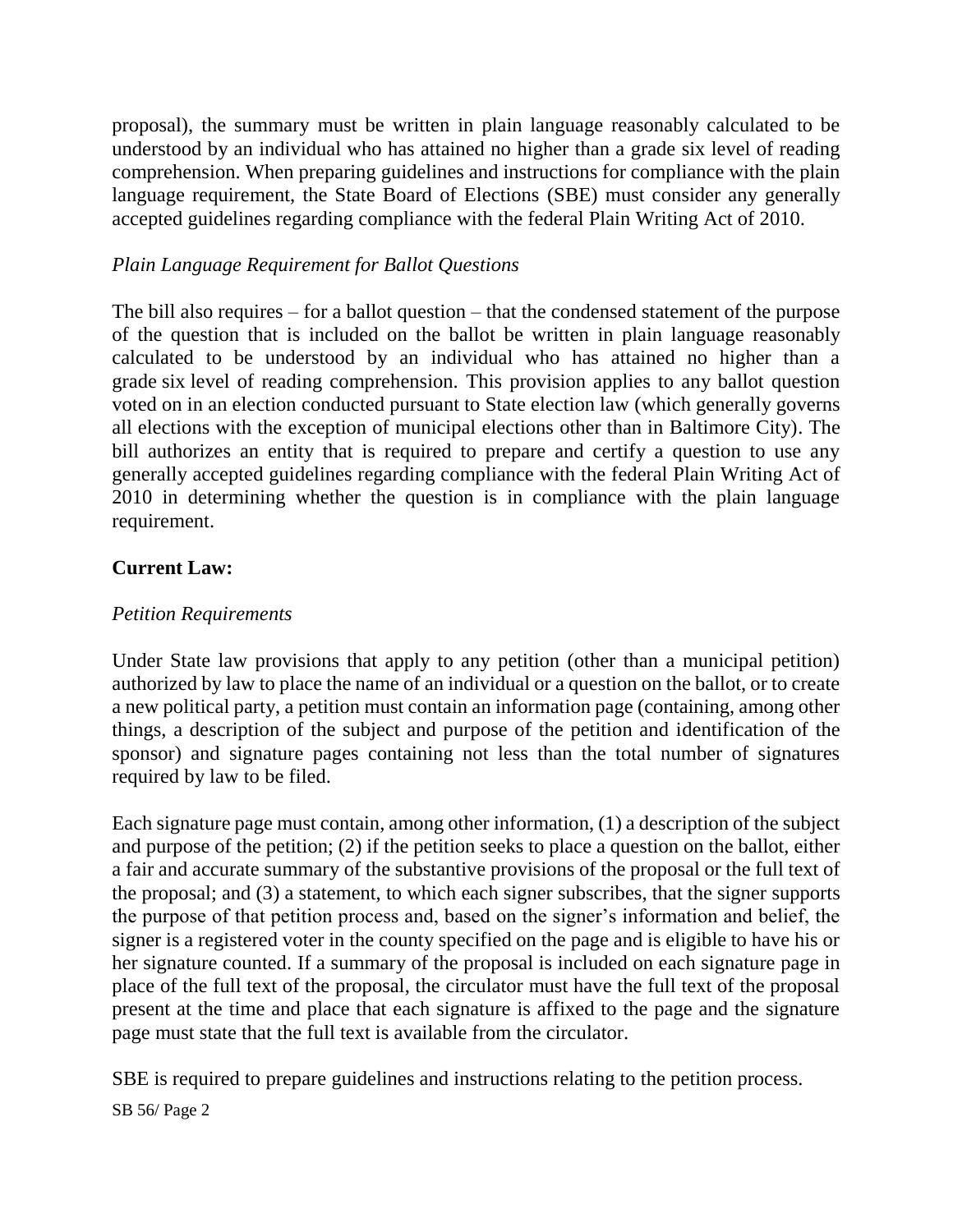proposal), the summary must be written in plain language reasonably calculated to be understood by an individual who has attained no higher than a grade six level of reading comprehension. When preparing guidelines and instructions for compliance with the plain language requirement, the State Board of Elections (SBE) must consider any generally accepted guidelines regarding compliance with the federal Plain Writing Act of 2010.

### *Plain Language Requirement for Ballot Questions*

The bill also requires – for a ballot question – that the condensed statement of the purpose of the question that is included on the ballot be written in plain language reasonably calculated to be understood by an individual who has attained no higher than a grade six level of reading comprehension. This provision applies to any ballot question voted on in an election conducted pursuant to State election law (which generally governs all elections with the exception of municipal elections other than in Baltimore City). The bill authorizes an entity that is required to prepare and certify a question to use any generally accepted guidelines regarding compliance with the federal Plain Writing Act of 2010 in determining whether the question is in compliance with the plain language requirement.

# **Current Law:**

## *Petition Requirements*

Under State law provisions that apply to any petition (other than a municipal petition) authorized by law to place the name of an individual or a question on the ballot, or to create a new political party, a petition must contain an information page (containing, among other things, a description of the subject and purpose of the petition and identification of the sponsor) and signature pages containing not less than the total number of signatures required by law to be filed.

Each signature page must contain, among other information, (1) a description of the subject and purpose of the petition; (2) if the petition seeks to place a question on the ballot, either a fair and accurate summary of the substantive provisions of the proposal or the full text of the proposal; and (3) a statement, to which each signer subscribes, that the signer supports the purpose of that petition process and, based on the signer's information and belief, the signer is a registered voter in the county specified on the page and is eligible to have his or her signature counted. If a summary of the proposal is included on each signature page in place of the full text of the proposal, the circulator must have the full text of the proposal present at the time and place that each signature is affixed to the page and the signature page must state that the full text is available from the circulator.

SBE is required to prepare guidelines and instructions relating to the petition process.

#### SB 56/ Page 2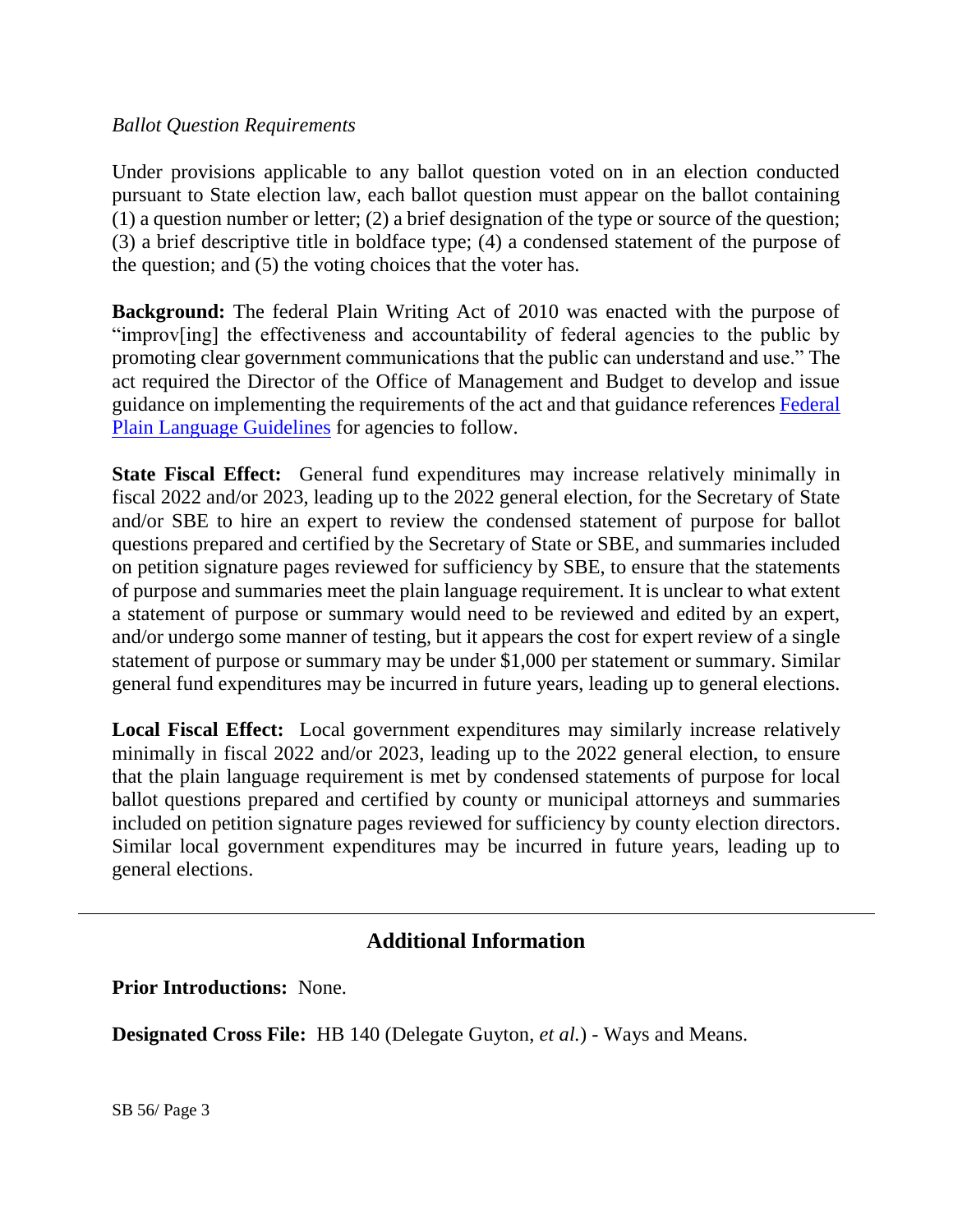#### *Ballot Question Requirements*

Under provisions applicable to any ballot question voted on in an election conducted pursuant to State election law, each ballot question must appear on the ballot containing (1) a question number or letter; (2) a brief designation of the type or source of the question; (3) a brief descriptive title in boldface type; (4) a condensed statement of the purpose of the question; and (5) the voting choices that the voter has.

**Background:** The federal Plain Writing Act of 2010 was enacted with the purpose of "improv[ing] the effectiveness and accountability of federal agencies to the public by promoting clear government communications that the public can understand and use." The act required the Director of the Office of Management and Budget to develop and issue guidance on implementing the requirements of the act and that guidance references [Federal](https://plainlanguage.gov/guidelines/)  [Plain Language Guidelines](https://plainlanguage.gov/guidelines/) for agencies to follow.

**State Fiscal Effect:** General fund expenditures may increase relatively minimally in fiscal 2022 and/or 2023, leading up to the 2022 general election, for the Secretary of State and/or SBE to hire an expert to review the condensed statement of purpose for ballot questions prepared and certified by the Secretary of State or SBE, and summaries included on petition signature pages reviewed for sufficiency by SBE, to ensure that the statements of purpose and summaries meet the plain language requirement. It is unclear to what extent a statement of purpose or summary would need to be reviewed and edited by an expert, and/or undergo some manner of testing, but it appears the cost for expert review of a single statement of purpose or summary may be under \$1,000 per statement or summary. Similar general fund expenditures may be incurred in future years, leading up to general elections.

**Local Fiscal Effect:** Local government expenditures may similarly increase relatively minimally in fiscal 2022 and/or 2023, leading up to the 2022 general election, to ensure that the plain language requirement is met by condensed statements of purpose for local ballot questions prepared and certified by county or municipal attorneys and summaries included on petition signature pages reviewed for sufficiency by county election directors. Similar local government expenditures may be incurred in future years, leading up to general elections.

# **Additional Information**

**Prior Introductions:** None.

**Designated Cross File:** HB 140 (Delegate Guyton, *et al.*) - Ways and Means.